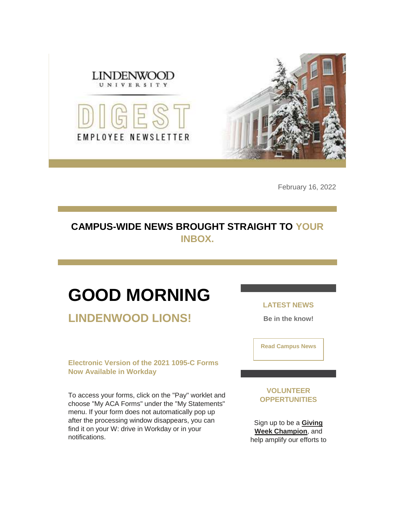

February 16, 2022

## **CAMPUS-WIDE NEWS BROUGHT STRAIGHT TO YOUR INBOX.**

## **GOOD MORNING**

**LINDENWOOD LIONS!**

**Electronic Version of the 2021 1095-C Forms Now Available in Workday**

To access your forms, click on the "Pay" worklet and choose "My ACA Forms" under the "My Statements" menu. If your form does not automatically pop up after the processing window disappears, you can find it on your W: drive in Workday or in your notifications.

**LATEST NEWS**

**Be in the know!** 

**[Read Campus News](https://nam04.safelinks.protection.outlook.com/?url=https%3A%2F%2Fr20.rs6.net%2Ftn.jsp%3Ff%3D001B0v3-0NK5bfuDx5WnjznYHtW9XF5GzcOGgRoVwryThwPmxSiHdOeaq_z0bprdzu5rcLARo34Gide-xb5SyeRqqj7sacTgsQxmVyL2c-pMZ3GEep-56AcHNNVXnj7xsMTfFXH3akKFdde_kL6bupM7yH5803Ke49PP47eJAX0Ldw%3D%26c%3DVx8gFamRnMtojEEgfnCPFCh2wbXlVdsiLzPbWooNCnR1j6leYKMXlg%3D%3D%26ch%3DlWzf4CdxCUN86mNShHfZtceal9JQC7XX11UbhFWYuzxajj8eAlHyuA%3D%3D&data=04%7C01%7Cphuffman%40lindenwood.edu%7C118cc97becdd455cf80b08d9f1614f27%7C3d72f08e540a4c68905d9e69c4d9c61e%7C1%7C0%7C637806222519967491%7CUnknown%7CTWFpbGZsb3d8eyJWIjoiMC4wLjAwMDAiLCJQIjoiV2luMzIiLCJBTiI6Ik1haWwiLCJXVCI6Mn0%3D%7C3000&sdata=s%2F5Y0bSddSJxhGbTNNCuOCkpe0Z%2Bi%2Fz7Ontisx3u9vs%3D&reserved=0)**

**VOLUNTEER OPPERTUNITIES**

Sign up to be a **[Giving](https://nam04.safelinks.protection.outlook.com/?url=https%3A%2F%2Fr20.rs6.net%2Ftn.jsp%3Ff%3D001B0v3-0NK5bfuDx5WnjznYHtW9XF5GzcOGgRoVwryThwPmxSiHdOeaihczKVhXbWf_SZyoaQv5jbX9Tgc4exO42rFsk1SiFqZ-Lk_m8ZNURDwZdmbRoR15sFPm9tVqpJeOhEKRMBaV8pfJhFjCEej7IN2bv8FO-Lm6ZQmF94AV4ObJlHxgQJCzMl31w7iDSiV%26c%3DVx8gFamRnMtojEEgfnCPFCh2wbXlVdsiLzPbWooNCnR1j6leYKMXlg%3D%3D%26ch%3DlWzf4CdxCUN86mNShHfZtceal9JQC7XX11UbhFWYuzxajj8eAlHyuA%3D%3D&data=04%7C01%7Cphuffman%40lindenwood.edu%7C118cc97becdd455cf80b08d9f1614f27%7C3d72f08e540a4c68905d9e69c4d9c61e%7C1%7C0%7C637806222519967491%7CUnknown%7CTWFpbGZsb3d8eyJWIjoiMC4wLjAwMDAiLCJQIjoiV2luMzIiLCJBTiI6Ik1haWwiLCJXVCI6Mn0%3D%7C3000&sdata=BgZ3r9PK34b5ICmYxvlVXDLKeRcvGZA3AVOr7HL%2B9mI%3D&reserved=0)  [Week Champion](https://nam04.safelinks.protection.outlook.com/?url=https%3A%2F%2Fr20.rs6.net%2Ftn.jsp%3Ff%3D001B0v3-0NK5bfuDx5WnjznYHtW9XF5GzcOGgRoVwryThwPmxSiHdOeaihczKVhXbWf_SZyoaQv5jbX9Tgc4exO42rFsk1SiFqZ-Lk_m8ZNURDwZdmbRoR15sFPm9tVqpJeOhEKRMBaV8pfJhFjCEej7IN2bv8FO-Lm6ZQmF94AV4ObJlHxgQJCzMl31w7iDSiV%26c%3DVx8gFamRnMtojEEgfnCPFCh2wbXlVdsiLzPbWooNCnR1j6leYKMXlg%3D%3D%26ch%3DlWzf4CdxCUN86mNShHfZtceal9JQC7XX11UbhFWYuzxajj8eAlHyuA%3D%3D&data=04%7C01%7Cphuffman%40lindenwood.edu%7C118cc97becdd455cf80b08d9f1614f27%7C3d72f08e540a4c68905d9e69c4d9c61e%7C1%7C0%7C637806222519967491%7CUnknown%7CTWFpbGZsb3d8eyJWIjoiMC4wLjAwMDAiLCJQIjoiV2luMzIiLCJBTiI6Ik1haWwiLCJXVCI6Mn0%3D%7C3000&sdata=BgZ3r9PK34b5ICmYxvlVXDLKeRcvGZA3AVOr7HL%2B9mI%3D&reserved=0)**, and help amplify our efforts to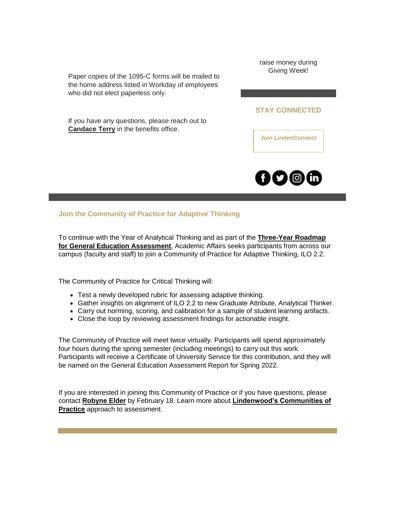Paper copies of the 1095-C forms will be mailed to the home address listed in Workday of employees who did not elect paperless only.

If you have any questions, please reach out to **[Candace Terry](mailto:cterry@lindenwood.edu)** in the benefits office.

raise money during Giving Week!

#### **STAY CONNECTED**

**[Join LindenConnect](https://nam04.safelinks.protection.outlook.com/?url=https%3A%2F%2Fr20.rs6.net%2Ftn.jsp%3Ff%3D001B0v3-0NK5bfuDx5WnjznYHtW9XF5GzcOGgRoVwryThwPmxSiHdOeagao2ygorpoBvEBdPdyFNUo6Gww947OPvbwD6OcEIL2hLJKCJo3qgLEaAqBcWofOfTmxRNTW-rkOX6MD5UeWiT8pPaNPRHDbuNINf2guuQHHuqN5PHkhAVA%3D%26c%3DVx8gFamRnMtojEEgfnCPFCh2wbXlVdsiLzPbWooNCnR1j6leYKMXlg%3D%3D%26ch%3DlWzf4CdxCUN86mNShHfZtceal9JQC7XX11UbhFWYuzxajj8eAlHyuA%3D%3D&data=04%7C01%7Cphuffman%40lindenwood.edu%7C118cc97becdd455cf80b08d9f1614f27%7C3d72f08e540a4c68905d9e69c4d9c61e%7C1%7C0%7C637806222519967491%7CUnknown%7CTWFpbGZsb3d8eyJWIjoiMC4wLjAwMDAiLCJQIjoiV2luMzIiLCJBTiI6Ik1haWwiLCJXVCI6Mn0%3D%7C3000&sdata=3BcB0ty0ulsDuo%2BILFxUu07WCZSchvBFrcvuHbgwxFY%3D&reserved=0)**



## **Join the Community of Practice for Adaptive Thinking**

To continue with the Year of Analytical Thinking and as part of the **[Three-Year Roadmap](https://nam04.safelinks.protection.outlook.com/?url=https%3A%2F%2Fr20.rs6.net%2Ftn.jsp%3Ff%3D001B0v3-0NK5bfuDx5WnjznYHtW9XF5GzcOGgRoVwryThwPmxSiHdOeaiIxUcQ3zmta_FXpZFiOmf2BhoRtEBEY8b5vh3jWk-BMzkAxMMmDrqoF_JWkZiKyKmQvZRGEZqt7v28EK6wZ2ykjfUjBiKg0i9LrrCzc8O_eUToTllkcDbmR_7vwhtmC2W9QNWnouuTYUEY0WlSOFc74tqM3P25HpHuMjY5geRDmcpjz3uRSXwcxDEbBZyMwkCJAvV3V9ivP7XMFdYLqYWhYL_dF_v9JsIACGj67lyRXJ_LbzQ0G3e6Ph55Jb_q2reT4KKBvdpSdmtjevj_tEmo%3D%26c%3DVx8gFamRnMtojEEgfnCPFCh2wbXlVdsiLzPbWooNCnR1j6leYKMXlg%3D%3D%26ch%3DlWzf4CdxCUN86mNShHfZtceal9JQC7XX11UbhFWYuzxajj8eAlHyuA%3D%3D&data=04%7C01%7Cphuffman%40lindenwood.edu%7C118cc97becdd455cf80b08d9f1614f27%7C3d72f08e540a4c68905d9e69c4d9c61e%7C1%7C0%7C637806222520123715%7CUnknown%7CTWFpbGZsb3d8eyJWIjoiMC4wLjAwMDAiLCJQIjoiV2luMzIiLCJBTiI6Ik1haWwiLCJXVCI6Mn0%3D%7C3000&sdata=MflheWD5NhW%2BIAilTM2Upcd2GWYQZIaUC1UmPBSY%2BSQ%3D&reserved=0)  [for General Education Assessment](https://nam04.safelinks.protection.outlook.com/?url=https%3A%2F%2Fr20.rs6.net%2Ftn.jsp%3Ff%3D001B0v3-0NK5bfuDx5WnjznYHtW9XF5GzcOGgRoVwryThwPmxSiHdOeaiIxUcQ3zmta_FXpZFiOmf2BhoRtEBEY8b5vh3jWk-BMzkAxMMmDrqoF_JWkZiKyKmQvZRGEZqt7v28EK6wZ2ykjfUjBiKg0i9LrrCzc8O_eUToTllkcDbmR_7vwhtmC2W9QNWnouuTYUEY0WlSOFc74tqM3P25HpHuMjY5geRDmcpjz3uRSXwcxDEbBZyMwkCJAvV3V9ivP7XMFdYLqYWhYL_dF_v9JsIACGj67lyRXJ_LbzQ0G3e6Ph55Jb_q2reT4KKBvdpSdmtjevj_tEmo%3D%26c%3DVx8gFamRnMtojEEgfnCPFCh2wbXlVdsiLzPbWooNCnR1j6leYKMXlg%3D%3D%26ch%3DlWzf4CdxCUN86mNShHfZtceal9JQC7XX11UbhFWYuzxajj8eAlHyuA%3D%3D&data=04%7C01%7Cphuffman%40lindenwood.edu%7C118cc97becdd455cf80b08d9f1614f27%7C3d72f08e540a4c68905d9e69c4d9c61e%7C1%7C0%7C637806222520123715%7CUnknown%7CTWFpbGZsb3d8eyJWIjoiMC4wLjAwMDAiLCJQIjoiV2luMzIiLCJBTiI6Ik1haWwiLCJXVCI6Mn0%3D%7C3000&sdata=MflheWD5NhW%2BIAilTM2Upcd2GWYQZIaUC1UmPBSY%2BSQ%3D&reserved=0)**, Academic Affairs seeks participants from across our campus (faculty and staff) to join a Community of Practice for Adaptive Thinking, ILO 2.2.

The Community of Practice for Critical Thinking will:

- Test a newly developed rubric for assessing adaptive thinking.
- Gather insights on alignment of ILO 2.2 to new Graduate Attribute, Analytical Thinker.
- Carry out norming, scoring, and calibration for a sample of student learning artifacts.
- Close the loop by reviewing assessment findings for actionable insight.

The Community of Practice will meet twice virtually. Participants will spend approximately four hours during the spring semester (including meetings) to carry out this work. Participants will receive a Certificate of University Service for this contribution, and they will be named on the General Education Assessment Report for Spring 2022.

If you are interested in joining this Community of Practice or if you have questions, please contact **[Robyne Elder](mailto:relder@lindenwood.edu)** by February 18. Learn more about **[Lindenwood's Communities of](https://nam04.safelinks.protection.outlook.com/?url=https%3A%2F%2Fr20.rs6.net%2Ftn.jsp%3Ff%3D001B0v3-0NK5bfuDx5WnjznYHtW9XF5GzcOGgRoVwryThwPmxSiHdOeaoGzVQtuJDc5XbWRyDV__JyVv9zRySuuM1NcZs6PtEbdIgRV1KaaC6_eAajqBpmPFkcSAvEWa4iZ2dOa2GGVlD9U9v9bc8VxkigXdVZuQ493Ea6OPqVWeBVlZqPI4JzfB3aHJ8Kqll-6EPA3zKkkdpvDFUkh5YJ0dZ0skg_c2D9eeMB2X2eqv3-GKo2tRy57C_jW9DWlZNalCmNDrfXxKtpKwVscZKqig1qedwbk95fv6STja48l368HgXCN6gAFbA%3D%3D%26c%3DVx8gFamRnMtojEEgfnCPFCh2wbXlVdsiLzPbWooNCnR1j6leYKMXlg%3D%3D%26ch%3DlWzf4CdxCUN86mNShHfZtceal9JQC7XX11UbhFWYuzxajj8eAlHyuA%3D%3D&data=04%7C01%7Cphuffman%40lindenwood.edu%7C118cc97becdd455cf80b08d9f1614f27%7C3d72f08e540a4c68905d9e69c4d9c61e%7C1%7C0%7C637806222520123715%7CUnknown%7CTWFpbGZsb3d8eyJWIjoiMC4wLjAwMDAiLCJQIjoiV2luMzIiLCJBTiI6Ik1haWwiLCJXVCI6Mn0%3D%7C3000&sdata=Ol%2BMgv6k2rdyT5CU5dmtebPbZS6yu7mxX7fn5%2FC23Es%3D&reserved=0)  [Practice](https://nam04.safelinks.protection.outlook.com/?url=https%3A%2F%2Fr20.rs6.net%2Ftn.jsp%3Ff%3D001B0v3-0NK5bfuDx5WnjznYHtW9XF5GzcOGgRoVwryThwPmxSiHdOeaoGzVQtuJDc5XbWRyDV__JyVv9zRySuuM1NcZs6PtEbdIgRV1KaaC6_eAajqBpmPFkcSAvEWa4iZ2dOa2GGVlD9U9v9bc8VxkigXdVZuQ493Ea6OPqVWeBVlZqPI4JzfB3aHJ8Kqll-6EPA3zKkkdpvDFUkh5YJ0dZ0skg_c2D9eeMB2X2eqv3-GKo2tRy57C_jW9DWlZNalCmNDrfXxKtpKwVscZKqig1qedwbk95fv6STja48l368HgXCN6gAFbA%3D%3D%26c%3DVx8gFamRnMtojEEgfnCPFCh2wbXlVdsiLzPbWooNCnR1j6leYKMXlg%3D%3D%26ch%3DlWzf4CdxCUN86mNShHfZtceal9JQC7XX11UbhFWYuzxajj8eAlHyuA%3D%3D&data=04%7C01%7Cphuffman%40lindenwood.edu%7C118cc97becdd455cf80b08d9f1614f27%7C3d72f08e540a4c68905d9e69c4d9c61e%7C1%7C0%7C637806222520123715%7CUnknown%7CTWFpbGZsb3d8eyJWIjoiMC4wLjAwMDAiLCJQIjoiV2luMzIiLCJBTiI6Ik1haWwiLCJXVCI6Mn0%3D%7C3000&sdata=Ol%2BMgv6k2rdyT5CU5dmtebPbZS6yu7mxX7fn5%2FC23Es%3D&reserved=0)** approach to assessment.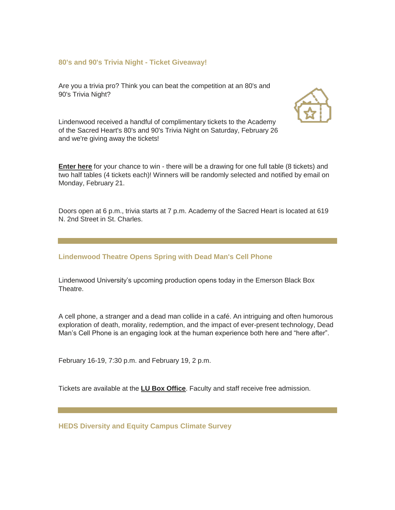#### **80's and 90's Trivia Night - Ticket Giveaway!**

Are you a trivia pro? Think you can beat the competition at an 80's and 90's Trivia Night?



Lindenwood received a handful of complimentary tickets to the Academy of the Sacred Heart's 80's and 90's Trivia Night on Saturday, February 26 and we're giving away the tickets!

**[Enter here](https://nam04.safelinks.protection.outlook.com/?url=https%3A%2F%2Fr20.rs6.net%2Ftn.jsp%3Ff%3D001B0v3-0NK5bfuDx5WnjznYHtW9XF5GzcOGgRoVwryThwPmxSiHdOeasJfbWCokQcsSV_9xlXhz_kGP3cNA_oTTsE8y0eG4d2t2Cr7UeLTp3luuYi3n4tP53wLNEhyPWFZIBiypfCqRiWthEghz77nGSTx9BhEXGygw8eGAsO5S_Q%3D%26c%3DVx8gFamRnMtojEEgfnCPFCh2wbXlVdsiLzPbWooNCnR1j6leYKMXlg%3D%3D%26ch%3DlWzf4CdxCUN86mNShHfZtceal9JQC7XX11UbhFWYuzxajj8eAlHyuA%3D%3D&data=04%7C01%7Cphuffman%40lindenwood.edu%7C118cc97becdd455cf80b08d9f1614f27%7C3d72f08e540a4c68905d9e69c4d9c61e%7C1%7C0%7C637806222520123715%7CUnknown%7CTWFpbGZsb3d8eyJWIjoiMC4wLjAwMDAiLCJQIjoiV2luMzIiLCJBTiI6Ik1haWwiLCJXVCI6Mn0%3D%7C3000&sdata=AwbJ2Cb2VM9YqTNn1W3CZQzgzMJZgJR7EAwrAlyiixE%3D&reserved=0)** for your chance to win - there will be a drawing for one full table (8 tickets) and two half tables (4 tickets each)! Winners will be randomly selected and notified by email on Monday, February 21.

Doors open at 6 p.m., trivia starts at 7 p.m. Academy of the Sacred Heart is located at 619 N. 2nd Street in St. Charles.

#### **Lindenwood Theatre Opens Spring with Dead Man's Cell Phone**

Lindenwood University's upcoming production opens today in the Emerson Black Box Theatre.

A cell phone, a stranger and a dead man collide in a café. An intriguing and often humorous exploration of death, morality, redemption, and the impact of ever-present technology, Dead Man's Cell Phone is an engaging look at the human experience both here and "here after".

February 16-19, 7:30 p.m. and February 19, 2 p.m.

Tickets are available at the **[LU Box Office](https://nam04.safelinks.protection.outlook.com/?url=https%3A%2F%2Fr20.rs6.net%2Ftn.jsp%3Ff%3D001B0v3-0NK5bfuDx5WnjznYHtW9XF5GzcOGgRoVwryThwPmxSiHdOeasJfbWCokQcsLws6VWGqbN-HtMB4uxReAEmjTJRh51O-KLM0oONzoq_ZUA29s3xcjOKaAv3LYI2RAcHdysz4Y073hKtPyZz5W_jHuECQLZUY6RpGFCF2LX82NUn1lHejtCz5FIdBCvPhZwz4bBE8wr0%3D%26c%3DVx8gFamRnMtojEEgfnCPFCh2wbXlVdsiLzPbWooNCnR1j6leYKMXlg%3D%3D%26ch%3DlWzf4CdxCUN86mNShHfZtceal9JQC7XX11UbhFWYuzxajj8eAlHyuA%3D%3D&data=04%7C01%7Cphuffman%40lindenwood.edu%7C118cc97becdd455cf80b08d9f1614f27%7C3d72f08e540a4c68905d9e69c4d9c61e%7C1%7C0%7C637806222520123715%7CUnknown%7CTWFpbGZsb3d8eyJWIjoiMC4wLjAwMDAiLCJQIjoiV2luMzIiLCJBTiI6Ik1haWwiLCJXVCI6Mn0%3D%7C3000&sdata=1Vjl7WwRpg7o0xqUq6GJ5k%2BzCAJEyt%2FamU7dyztLyjY%3D&reserved=0)**. Faculty and staff receive free admission.

**HEDS Diversity and Equity Campus Climate Survey**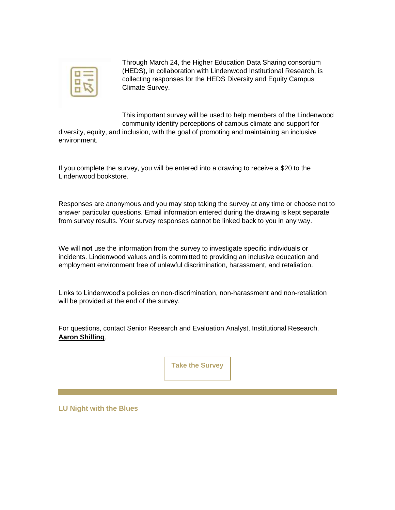

Through March 24, the Higher Education Data Sharing consortium (HEDS), in collaboration with Lindenwood Institutional Research, is collecting responses for the HEDS Diversity and Equity Campus Climate Survey.

This important survey will be used to help members of the Lindenwood community identify perceptions of campus climate and support for

diversity, equity, and inclusion, with the goal of promoting and maintaining an inclusive environment.

If you complete the survey, you will be entered into a drawing to receive a \$20 to the Lindenwood bookstore.

Responses are anonymous and you may stop taking the survey at any time or choose not to answer particular questions. Email information entered during the drawing is kept separate from survey results. Your survey responses cannot be linked back to you in any way.

We will **not** use the information from the survey to investigate specific individuals or incidents. Lindenwood values and is committed to providing an inclusive education and employment environment free of unlawful discrimination, harassment, and retaliation.

Links to Lindenwood's policies on non-discrimination, non-harassment and non-retaliation will be provided at the end of the survey.

For questions, contact Senior Research and Evaluation Analyst, Institutional Research[,](mailto:ashilling@lindenwood.edu) **[Aaron Shilling](mailto:ashilling@lindenwood.edu)**.

**[Take the Survey](https://nam04.safelinks.protection.outlook.com/?url=https%3A%2F%2Fr20.rs6.net%2Ftn.jsp%3Ff%3D001B0v3-0NK5bfuDx5WnjznYHtW9XF5GzcOGgRoVwryThwPmxSiHdOeasJfbWCokQcsJEA7nQ7_5vKv5O3ITlISoU63Bpoj5EwLVyXLirNExoginJaw_9EMovuVBFfTK5cu_uTohinQjaRambmBDg0WYpQ0As6wTaLCbkZ9-iCQ_2KBl5rsIY4QYZVEUzNX0BFz%26c%3DVx8gFamRnMtojEEgfnCPFCh2wbXlVdsiLzPbWooNCnR1j6leYKMXlg%3D%3D%26ch%3DlWzf4CdxCUN86mNShHfZtceal9JQC7XX11UbhFWYuzxajj8eAlHyuA%3D%3D&data=04%7C01%7Cphuffman%40lindenwood.edu%7C118cc97becdd455cf80b08d9f1614f27%7C3d72f08e540a4c68905d9e69c4d9c61e%7C1%7C0%7C637806222520123715%7CUnknown%7CTWFpbGZsb3d8eyJWIjoiMC4wLjAwMDAiLCJQIjoiV2luMzIiLCJBTiI6Ik1haWwiLCJXVCI6Mn0%3D%7C3000&sdata=hySVPCd5XeoTXgDBH61NWD%2FrCkTWx%2B8C4VZaMznujxs%3D&reserved=0)**

**LU Night with the Blues**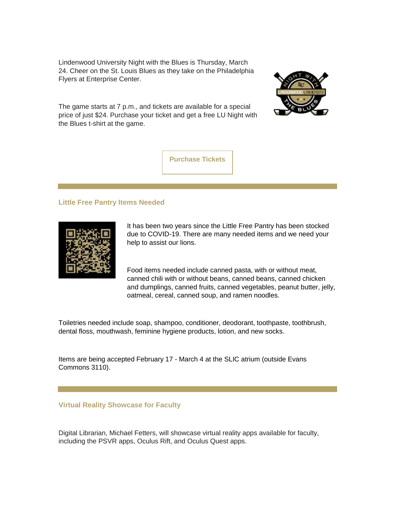Lindenwood University Night with the Blues is Thursday, March 24. Cheer on the St. Louis Blues as they take on the Philadelphia Flyers at Enterprise Center.

The game starts at 7 p.m., and tickets are available for a special price of just \$24. Purchase your ticket and get a free LU Night with the Blues t-shirt at the game.





#### **Little Free Pantry Items Needed**



It has been two years since the Little Free Pantry has been stocked due to COVID-19. There are many needed items and we need your help to assist our lions.

Food items needed include canned pasta, with or without meat, canned chili with or without beans, canned beans, canned chicken and dumplings, canned fruits, canned vegetables, peanut butter, jelly, oatmeal, cereal, canned soup, and ramen noodles.

Toiletries needed include soap, shampoo, conditioner, deodorant, toothpaste, toothbrush, dental floss, mouthwash, feminine hygiene products, lotion, and new socks.

Items are being accepted February 17 - March 4 at the SLIC atrium (outside Evans Commons 3110).

#### **Virtual Reality Showcase for Faculty**

Digital Librarian, Michael Fetters, will showcase virtual reality apps available for faculty, including the PSVR apps, Oculus Rift, and Oculus Quest apps.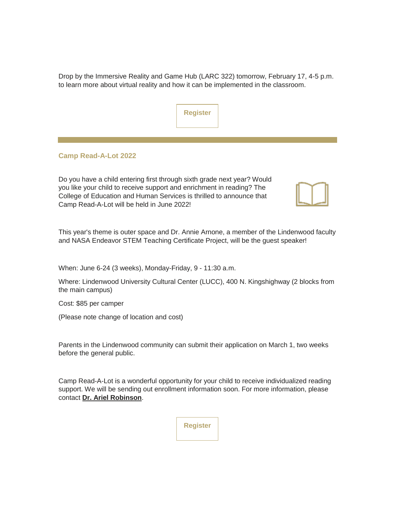Drop by the Immersive Reality and Game Hub (LARC 322) tomorrow, February 17, 4-5 p.m. to learn more about virtual reality and how it can be implemented in the classroom.

#### **Camp Read-A-Lot 2022**

Do you have a child entering first through sixth grade next year? Would you like your child to receive support and enrichment in reading? The College of Education and Human Services is thrilled to announce that Camp Read-A-Lot will be held in June 2022!



This year's theme is outer space and Dr. Annie Arnone, a member of the Lindenwood faculty and NASA Endeavor STEM Teaching Certificate Project, will be the guest speaker!

When: June 6-24 (3 weeks), Monday-Friday, 9 - 11:30 a.m.

Where: Lindenwood University Cultural Center (LUCC), 400 N. Kingshighway (2 blocks from the main campus)

Cost: \$85 per camper

(Please note change of location and cost)

Parents in the Lindenwood community can submit their application on March 1, two weeks before the general public.

Camp Read-A-Lot is a wonderful opportunity for your child to receive individualized reading support. We will be sending out enrollment information soon. For more information, please contact **[Dr. Ariel Robinson](mailto:grobinson@lindenwood.edu)**.

**[Register](https://nam04.safelinks.protection.outlook.com/?url=https%3A%2F%2Fr20.rs6.net%2Ftn.jsp%3Ff%3D001B0v3-0NK5bfuDx5WnjznYHtW9XF5GzcOGgRoVwryThwPmxSiHdOeasJfbWCokQcsy7Xt59r3T54oD3LkrW0EL3kzvBd8tXnwnLvfdtOlD9FZnExcziNcMBNAoVXfnMam7UJO_H-PPE9YGF3eANc2LrYE1KnCO8oeDYVjasvcSwj2q2W-KdqM3Vu3ZUKIZEDBsfuxWRkkEis13bhoKcpATg%3D%3D%26c%3DVx8gFamRnMtojEEgfnCPFCh2wbXlVdsiLzPbWooNCnR1j6leYKMXlg%3D%3D%26ch%3DlWzf4CdxCUN86mNShHfZtceal9JQC7XX11UbhFWYuzxajj8eAlHyuA%3D%3D&data=04%7C01%7Cphuffman%40lindenwood.edu%7C118cc97becdd455cf80b08d9f1614f27%7C3d72f08e540a4c68905d9e69c4d9c61e%7C1%7C0%7C637806222520123715%7CUnknown%7CTWFpbGZsb3d8eyJWIjoiMC4wLjAwMDAiLCJQIjoiV2luMzIiLCJBTiI6Ik1haWwiLCJXVCI6Mn0%3D%7C3000&sdata=g0APkGKYFVTLBkvObxr%2FlbvunAibeag5djBQYxf0eaE%3D&reserved=0)**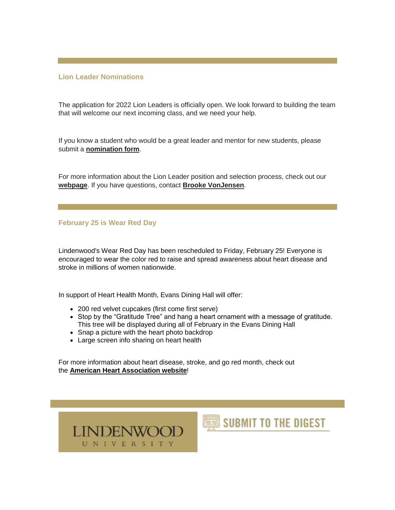#### **Lion Leader Nominations**

The application for 2022 Lion Leaders is officially open. We look forward to building the team that will welcome our next incoming class, and we need your help.

If you know a student who would be a great leader and mentor for new students, please submit a **[nomination form](https://nam04.safelinks.protection.outlook.com/?url=https%3A%2F%2Fr20.rs6.net%2Ftn.jsp%3Ff%3D001B0v3-0NK5bfuDx5WnjznYHtW9XF5GzcOGgRoVwryThwPmxSiHdOeasJfbWCokQcsPYdF2UCfh-CXmqZZC_w8DGW4syHArUlGMFDANUxBdr6Cxnx7SagxH9lD1aVKbtTPy3VZ9w_3493gRxpI9CRDbQCZ5JnJRG-5nxy4Ko1PyuX4GHSgDEzsxsRnzDHhWQeNDbbRJ1HncuA%3D%26c%3DVx8gFamRnMtojEEgfnCPFCh2wbXlVdsiLzPbWooNCnR1j6leYKMXlg%3D%3D%26ch%3DlWzf4CdxCUN86mNShHfZtceal9JQC7XX11UbhFWYuzxajj8eAlHyuA%3D%3D&data=04%7C01%7Cphuffman%40lindenwood.edu%7C118cc97becdd455cf80b08d9f1614f27%7C3d72f08e540a4c68905d9e69c4d9c61e%7C1%7C0%7C637806222520123715%7CUnknown%7CTWFpbGZsb3d8eyJWIjoiMC4wLjAwMDAiLCJQIjoiV2luMzIiLCJBTiI6Ik1haWwiLCJXVCI6Mn0%3D%7C3000&sdata=JxPQ0cjAIEKal5xTZafelTGKTljWSexD0xnYxoBxcUc%3D&reserved=0)**.

For more information about the Lion Leader position and selection process, check out our **[webpage](https://nam04.safelinks.protection.outlook.com/?url=https%3A%2F%2Fr20.rs6.net%2Ftn.jsp%3Ff%3D001B0v3-0NK5bfuDx5WnjznYHtW9XF5GzcOGgRoVwryThwPmxSiHdOeasJfbWCokQcscO-0soUkEr9hdNqptoSsdSHjB9TvZJfj1ScptcnwcRj6k-HirTkC-z4vb6hfMBryQeMEzp-uuEY8e7MMyPw7FOp-aRwsHkuqor2P3-dsXaTElJz0-RCF1LGV6_OjZhDnEzIqrPgPldAmszt1wAhrJ2bkp3cMBqfoazwed2sE_I38i7opy8cnbK3HLtEKr_Pz%26c%3DVx8gFamRnMtojEEgfnCPFCh2wbXlVdsiLzPbWooNCnR1j6leYKMXlg%3D%3D%26ch%3DlWzf4CdxCUN86mNShHfZtceal9JQC7XX11UbhFWYuzxajj8eAlHyuA%3D%3D&data=04%7C01%7Cphuffman%40lindenwood.edu%7C118cc97becdd455cf80b08d9f1614f27%7C3d72f08e540a4c68905d9e69c4d9c61e%7C1%7C0%7C637806222520123715%7CUnknown%7CTWFpbGZsb3d8eyJWIjoiMC4wLjAwMDAiLCJQIjoiV2luMzIiLCJBTiI6Ik1haWwiLCJXVCI6Mn0%3D%7C3000&sdata=pk32dKUbOfgQoz66p8G7Fpce9PgYs%2ByvBzCL4gLqn2M%3D&reserved=0)**. If you have questions, contact **[Brooke VonJensen](mailto:bvonjensen@lindenwood.edu)**.

**February 25 is Wear Red Day**

Lindenwood's Wear Red Day has been rescheduled to Friday, February 25! Everyone is encouraged to wear the color red to raise and spread awareness about heart disease and stroke in millions of women nationwide.

In support of Heart Health Month, Evans Dining Hall will offer:

- 200 red velvet cupcakes (first come first serve)
- Stop by the "Gratitude Tree" and hang a heart ornament with a message of gratitude. This tree will be displayed during all of February in the Evans Dining Hall
- Snap a picture with the heart photo backdrop
- Large screen info sharing on heart health

For more information about heart disease, stroke, and go red month, check out the **[American Heart Association website](https://nam04.safelinks.protection.outlook.com/?url=https%3A%2F%2Fr20.rs6.net%2Ftn.jsp%3Ff%3D001B0v3-0NK5bfuDx5WnjznYHtW9XF5GzcOGgRoVwryThwPmxSiHdOeasJfbWCokQcsghzSCiPwY2uuPqyrkOMCLCwLpeMxQmAfKWGPht9rGUtWw7Db09E9gqycAIecxNNAxVTn34Fn79wYG-QgPK7eMdcgU9WNNcA98_uJeqQVrt7dJ8bIswkC0aP1l6nXHiFxHMVoQA0dBs3LTbZoaqJr1hqlSQfJ2ty_jYYTtjevkLpZOGZTFfveRV7_xxR3gt9O6Ny6yrrzgM6kqS83f8UzO_JC9qNSCAJAHA74pZrw7eCiKCanUIgaN74x8OHmolk5rvz6tMOfDO1SNzZE7S9u4CWgEipd8dftEpXKZNKCjKEK22NaLIoF3r9Z1fnSVLc7VKGSVtInn2q72ZoXhM3_ncnR6RGPuek75xLuwZzkCGaLymsIBIrsGPyiW-8I7GyeWWEraOJfBQdDnYsdikeT8LQPQtXFyUh78kiwgzXXtcwMUxwkEAoGiqPujBI6RrAmKvo51XWSs4_nwOZEuknXViK3miHupp21MqWT_KLxqFAznbNLZFUwkHIUXckZsvb0ndDkb46FyZcCB40Ix53FOSWF0IVULpaNIItaMwzZWGpMPg08kS464Dj1rarpnymaIkToBZ9a14AbMQImCJhJhYvotMMeUU6QBjD45oULdSW2UvH3kLzcdUWLNjCh4M6T16iym0Ro9A1j3yIdQiVBHdiWTdljxyFRyq78USrnvC-sJ4naRBHNKfVSE5MMAA1POPHeDwPxjfHcZDalXNCi0lL9csi2HX9zK_6a08ORaMv0CfbeliuDadjnGqFJJ4WruDwxy-HaJ-Go5z9BQuY7oqOhsjJsHT3VNnkNRMeyv7i5AuVrTypEyEOiMK15eZEjkboq75DogQEruwf2y7tnxTD9I1cIqYaMaeSW5O-eGjg0QcqLM69n_DNoASWgf4k3shga4_JhP7TPAQ3iqdkMPGzQc1hFut76f0E4uad1T9FdlZFDUDtjuIeXDxkqlyToC2lDyoou-kIhusjpYxpEs4q5UiKSHmaT7FOz4gOceg5OWdfXi8g8Z4ITno8-RJS8Xo1ThXbwe2Tn6uNWvC3Nlg%3D%3D%26c%3DVx8gFamRnMtojEEgfnCPFCh2wbXlVdsiLzPbWooNCnR1j6leYKMXlg%3D%3D%26ch%3DlWzf4CdxCUN86mNShHfZtceal9JQC7XX11UbhFWYuzxajj8eAlHyuA%3D%3D&data=04%7C01%7Cphuffman%40lindenwood.edu%7C118cc97becdd455cf80b08d9f1614f27%7C3d72f08e540a4c68905d9e69c4d9c61e%7C1%7C0%7C637806222520123715%7CUnknown%7CTWFpbGZsb3d8eyJWIjoiMC4wLjAwMDAiLCJQIjoiV2luMzIiLCJBTiI6Ik1haWwiLCJXVCI6Mn0%3D%7C3000&sdata=hbVe%2BZrbEApqyaCyi8phuEUQ99xNHNlQsP6zpQBE52E%3D&reserved=0)**!

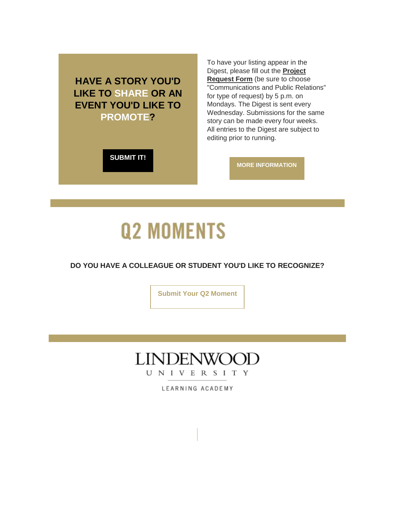**HAVE A STORY YOU'D LIKE TO SHARE OR AN EVENT YOU'D LIKE TO PROMOTE?** 

To have your listing appear in the Digest, please fill out the **[Project](https://nam04.safelinks.protection.outlook.com/?url=https%3A%2F%2Fr20.rs6.net%2Ftn.jsp%3Ff%3D001B0v3-0NK5bfuDx5WnjznYHtW9XF5GzcOGgRoVwryThwPmxSiHdOeagiGTutd3XJlnx0YvnzqsOyWRqGG8KHY_wcAH2SgJ2b4sds-KB3BzjslB0qeSLM4c52buu-j2gHXdTW14lHgZeIrKYuHPfKa9mXYQYrj8OgpYhqQnmv_72hzjTNYFqs7TMJAAlXA2QyFeH9LW5VWYNXYfPEpZKIe0W38F-mcJQLK%26c%3DVx8gFamRnMtojEEgfnCPFCh2wbXlVdsiLzPbWooNCnR1j6leYKMXlg%3D%3D%26ch%3DlWzf4CdxCUN86mNShHfZtceal9JQC7XX11UbhFWYuzxajj8eAlHyuA%3D%3D&data=04%7C01%7Cphuffman%40lindenwood.edu%7C118cc97becdd455cf80b08d9f1614f27%7C3d72f08e540a4c68905d9e69c4d9c61e%7C1%7C0%7C637806222520123715%7CUnknown%7CTWFpbGZsb3d8eyJWIjoiMC4wLjAwMDAiLCJQIjoiV2luMzIiLCJBTiI6Ik1haWwiLCJXVCI6Mn0%3D%7C3000&sdata=4sneCVcs5W2tstHZyOGyID8SRuk3%2FdmOmd8UfeX0fzg%3D&reserved=0)  [Request Form](https://nam04.safelinks.protection.outlook.com/?url=https%3A%2F%2Fr20.rs6.net%2Ftn.jsp%3Ff%3D001B0v3-0NK5bfuDx5WnjznYHtW9XF5GzcOGgRoVwryThwPmxSiHdOeagiGTutd3XJlnx0YvnzqsOyWRqGG8KHY_wcAH2SgJ2b4sds-KB3BzjslB0qeSLM4c52buu-j2gHXdTW14lHgZeIrKYuHPfKa9mXYQYrj8OgpYhqQnmv_72hzjTNYFqs7TMJAAlXA2QyFeH9LW5VWYNXYfPEpZKIe0W38F-mcJQLK%26c%3DVx8gFamRnMtojEEgfnCPFCh2wbXlVdsiLzPbWooNCnR1j6leYKMXlg%3D%3D%26ch%3DlWzf4CdxCUN86mNShHfZtceal9JQC7XX11UbhFWYuzxajj8eAlHyuA%3D%3D&data=04%7C01%7Cphuffman%40lindenwood.edu%7C118cc97becdd455cf80b08d9f1614f27%7C3d72f08e540a4c68905d9e69c4d9c61e%7C1%7C0%7C637806222520123715%7CUnknown%7CTWFpbGZsb3d8eyJWIjoiMC4wLjAwMDAiLCJQIjoiV2luMzIiLCJBTiI6Ik1haWwiLCJXVCI6Mn0%3D%7C3000&sdata=4sneCVcs5W2tstHZyOGyID8SRuk3%2FdmOmd8UfeX0fzg%3D&reserved=0)** (be sure to choose "Communications and Public Relations" for type of request) by 5 p.m. on Mondays. The Digest is sent every Wednesday. Submissions for the same story can be made every four weeks. All entries to the Digest are subject to editing prior to running.

**[SUBMIT IT!](https://nam04.safelinks.protection.outlook.com/?url=https%3A%2F%2Fr20.rs6.net%2Ftn.jsp%3Ff%3D001B0v3-0NK5bfuDx5WnjznYHtW9XF5GzcOGgRoVwryThwPmxSiHdOeagiGTutd3XJlnx0YvnzqsOyWRqGG8KHY_wcAH2SgJ2b4sds-KB3BzjslB0qeSLM4c52buu-j2gHXdTW14lHgZeIrKYuHPfKa9mXYQYrj8OgpYhqQnmv_72hzjTNYFqs7TMJAAlXA2QyFeH9LW5VWYNXYfPEpZKIe0W38F-mcJQLK%26c%3DVx8gFamRnMtojEEgfnCPFCh2wbXlVdsiLzPbWooNCnR1j6leYKMXlg%3D%3D%26ch%3DlWzf4CdxCUN86mNShHfZtceal9JQC7XX11UbhFWYuzxajj8eAlHyuA%3D%3D&data=04%7C01%7Cphuffman%40lindenwood.edu%7C118cc97becdd455cf80b08d9f1614f27%7C3d72f08e540a4c68905d9e69c4d9c61e%7C1%7C0%7C637806222520123715%7CUnknown%7CTWFpbGZsb3d8eyJWIjoiMC4wLjAwMDAiLCJQIjoiV2luMzIiLCJBTiI6Ik1haWwiLCJXVCI6Mn0%3D%7C3000&sdata=4sneCVcs5W2tstHZyOGyID8SRuk3%2FdmOmd8UfeX0fzg%3D&reserved=0)**

**[MORE INFORMATION](https://nam04.safelinks.protection.outlook.com/?url=https%3A%2F%2Fr20.rs6.net%2Ftn.jsp%3Ff%3D001B0v3-0NK5bfuDx5WnjznYHtW9XF5GzcOGgRoVwryThwPmxSiHdOeaq_z0bprdzu5gW890lTDDAJUTQUlGoK39pM2yGUkjdkHiGlRqHxtZRwnZB8yhYHdOBTLPDuK1zav8TxL9VC7yDhuhXhSZ0tWWCJdCb7CNitBtzNYkI_Kpu8REJxXrcHQVPuz0nywRQDdpX3sFZ9tXOoUmWOM4iWI6eIULs1ca3vOR_WumtCAQB6QoAN7a8R2Hw%3D%3D%26c%3DVx8gFamRnMtojEEgfnCPFCh2wbXlVdsiLzPbWooNCnR1j6leYKMXlg%3D%3D%26ch%3DlWzf4CdxCUN86mNShHfZtceal9JQC7XX11UbhFWYuzxajj8eAlHyuA%3D%3D&data=04%7C01%7Cphuffman%40lindenwood.edu%7C118cc97becdd455cf80b08d9f1614f27%7C3d72f08e540a4c68905d9e69c4d9c61e%7C1%7C0%7C637806222520123715%7CUnknown%7CTWFpbGZsb3d8eyJWIjoiMC4wLjAwMDAiLCJQIjoiV2luMzIiLCJBTiI6Ik1haWwiLCJXVCI6Mn0%3D%7C3000&sdata=Eu82x6X6h%2Bn%2FnqcFzYXW6Z0zv2LPTIiEV%2FdKcBGE09s%3D&reserved=0)**

# **Q2 MOMENTS**

## **DO YOU HAVE A COLLEAGUE OR STUDENT YOU'D LIKE TO RECOGNIZE?**

**[Submit Your Q2 Moment](https://nam04.safelinks.protection.outlook.com/?url=https%3A%2F%2Fr20.rs6.net%2Ftn.jsp%3Ff%3D001B0v3-0NK5bfuDx5WnjznYHtW9XF5GzcOGgRoVwryThwPmxSiHdOeaq_z0bprdzu5EF9_Blb6vf9emiwYL7M84rU7yMZhyGlyVF8c4O0b2Fkjo8-VIQ6RxfEDlI-ysSCPL8Nrckdq4B03eyi-5e2dcY1p6th7_D1TZCKks5h8QyszW9hDJBxtB4EkqRDbAZxgnHJ5uTfPSnyQ-pmdU37AdEsZ3XIdW_JbvPr9cUHkGAqRQBkW75jxSsWI2MCHVhPEgsrcCZJXKRoyhYzpAm4Few%3D%3D%26c%3DVx8gFamRnMtojEEgfnCPFCh2wbXlVdsiLzPbWooNCnR1j6leYKMXlg%3D%3D%26ch%3DlWzf4CdxCUN86mNShHfZtceal9JQC7XX11UbhFWYuzxajj8eAlHyuA%3D%3D&data=04%7C01%7Cphuffman%40lindenwood.edu%7C118cc97becdd455cf80b08d9f1614f27%7C3d72f08e540a4c68905d9e69c4d9c61e%7C1%7C0%7C637806222520123715%7CUnknown%7CTWFpbGZsb3d8eyJWIjoiMC4wLjAwMDAiLCJQIjoiV2luMzIiLCJBTiI6Ik1haWwiLCJXVCI6Mn0%3D%7C3000&sdata=lLuee76gDui2AwwV5keYL%2BkUXqRdzCF34cpbhRWQqqc%3D&reserved=0)**



LEARNING ACADEMY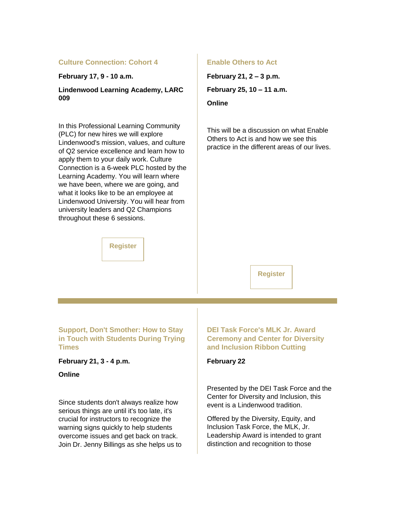#### **Culture Connection: Cohort 4**

**February 17, 9 - 10 a.m.**

**Lindenwood Learning Academy, LARC 009**

In this Professional Learning Community (PLC) for new hires we will explore Lindenwood's mission, values, and culture of Q2 service excellence and learn how to apply them to your daily work. Culture Connection is a 6-week PLC hosted by the Learning Academy. You will learn where we have been, where we are going, and what it looks like to be an employee at Lindenwood University. You will hear from university leaders and Q2 Champions throughout these 6 sessions.

## **[Register](https://nam04.safelinks.protection.outlook.com/?url=https%3A%2F%2Fr20.rs6.net%2Ftn.jsp%3Ff%3D001B0v3-0NK5bfuDx5WnjznYHtW9XF5GzcOGgRoVwryThwPmxSiHdOeasJfbWCokQcsP4fdRk-APr3EdxfepBOCJFOJ99RnRG-KU9H1oSZgjpQG48KbxVKgb3nFJiC6E0WOHLB1CyosRO-brLWwFCNZv25no3akMIhKd_IkM8ysUtwtqu1-bQzNqspz7KQplW4h%26c%3DVx8gFamRnMtojEEgfnCPFCh2wbXlVdsiLzPbWooNCnR1j6leYKMXlg%3D%3D%26ch%3DlWzf4CdxCUN86mNShHfZtceal9JQC7XX11UbhFWYuzxajj8eAlHyuA%3D%3D&data=04%7C01%7Cphuffman%40lindenwood.edu%7C118cc97becdd455cf80b08d9f1614f27%7C3d72f08e540a4c68905d9e69c4d9c61e%7C1%7C0%7C637806222520123715%7CUnknown%7CTWFpbGZsb3d8eyJWIjoiMC4wLjAwMDAiLCJQIjoiV2luMzIiLCJBTiI6Ik1haWwiLCJXVCI6Mn0%3D%7C3000&sdata=HNTto1p13Zo82BSMWp5mnRnuO5KGMLcD3dA6aOQaHAk%3D&reserved=0)**

#### **Enable Others to Act**

**February 21, 2 – 3 p.m. February 25, 10 – 11 a.m.**

**Online**

This will be a discussion on what Enable Others to Act is and how we see this practice in the different areas of our lives.

#### **[Register](https://nam04.safelinks.protection.outlook.com/?url=https%3A%2F%2Fr20.rs6.net%2Ftn.jsp%3Ff%3D001B0v3-0NK5bfuDx5WnjznYHtW9XF5GzcOGgRoVwryThwPmxSiHdOeaimplknkMTQeZhs5Eympkb5Jf_m3f70UfaeLauneyCUSADih21R-UBNeN3HIXtQ00Py6ZvGUXeI_QfTVrLjsjcbkRXEExRJNX6My4eHz5sjzhXgNoSh9aAtWU2wlfy5f6g%3D%3D%26c%3DVx8gFamRnMtojEEgfnCPFCh2wbXlVdsiLzPbWooNCnR1j6leYKMXlg%3D%3D%26ch%3DlWzf4CdxCUN86mNShHfZtceal9JQC7XX11UbhFWYuzxajj8eAlHyuA%3D%3D&data=04%7C01%7Cphuffman%40lindenwood.edu%7C118cc97becdd455cf80b08d9f1614f27%7C3d72f08e540a4c68905d9e69c4d9c61e%7C1%7C0%7C637806222520123715%7CUnknown%7CTWFpbGZsb3d8eyJWIjoiMC4wLjAwMDAiLCJQIjoiV2luMzIiLCJBTiI6Ik1haWwiLCJXVCI6Mn0%3D%7C3000&sdata=26zaCDAygJRhXeCe%2FZl4yiEn2xtU0v3hjZJa%2BmKv1mo%3D&reserved=0)**

**Support, Don't Smother: How to Stay in Touch with Students During Trying Times**

**February 21, 3 - 4 p.m.**

#### **Online**

Since students don't always realize how serious things are until it's too late, it's crucial for instructors to recognize the warning signs quickly to help students overcome issues and get back on track. Join Dr. Jenny Billings as she helps us to **DEI Task Force's MLK Jr. Award Ceremony and Center for Diversity and Inclusion Ribbon Cutting**

#### **February 22**

Presented by the DEI Task Force and the Center for Diversity and Inclusion, this event is a Lindenwood tradition.

Offered by the Diversity, Equity, and Inclusion Task Force, the MLK, Jr. Leadership Award is intended to grant distinction and recognition to those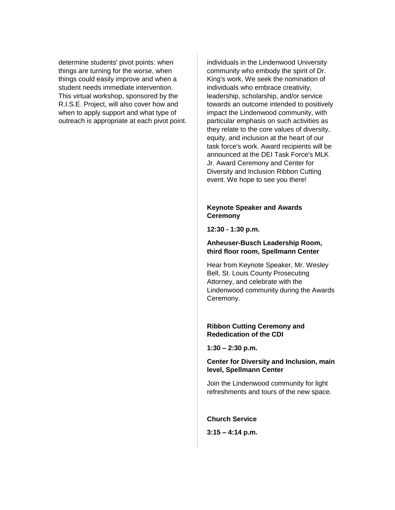determine students' pivot points: when things are turning for the worse, when things could easily improve and when a student needs immediate intervention. This virtual workshop, sponsored by the R.I.S.E. Project, will also cover how and when to apply support and what type of outreach is appropriate at each pivot point. individuals in the Lindenwood University community who embody the spirit of Dr. King's work. We seek the nomination of individuals who embrace creativity, leadership, scholarship, and/or service towards an outcome intended to positively impact the Lindenwood community, with particular emphasis on such activities as they relate to the core values of diversity, equity, and inclusion at the heart of our task force's work. Award recipients will be announced at the DEI Task Force's MLK Jr. Award Ceremony and Center for Diversity and Inclusion Ribbon Cutting event. We hope to see you there!

#### **Keynote Speaker and Awards Ceremony**

**12:30 - 1:30 p.m.**

#### **Anheuser-Busch Leadership Room, third floor room, Spellmann Center**

Hear from Keynote Speaker, Mr. Wesley Bell, St. Louis County Prosecuting Attorney, and celebrate with the Lindenwood community during the Awards Ceremony.

#### **Ribbon Cutting Ceremony and Rededication of the CDI**

**1:30 – 2:30 p.m.**

#### **Center for Diversity and Inclusion, main level, Spellmann Center**

Join the Lindenwood community for light refreshments and tours of the new space.

**Church Service**

**3:15 – 4:14 p.m.**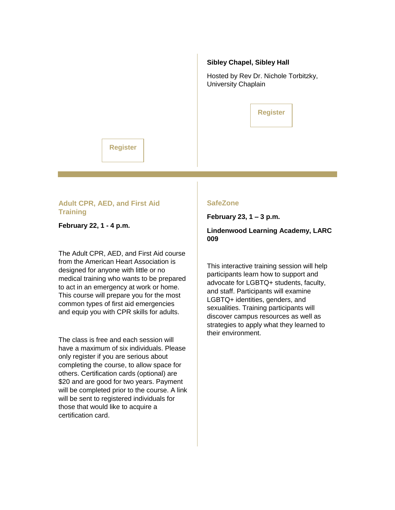#### **Sibley Chapel, Sibley Hall**

Hosted by Rev Dr. Nichole Torbitzky, University Chaplain

|  |  | <b>Register</b> |  |
|--|--|-----------------|--|
|  |  |                 |  |

## **[Register](https://nam04.safelinks.protection.outlook.com/?url=https%3A%2F%2Fr20.rs6.net%2Ftn.jsp%3Ff%3D001B0v3-0NK5bfuDx5WnjznYHtW9XF5GzcOGgRoVwryThwPmxSiHdOeanIOFxneDiiV_H5xqOkYFQfsUmoexCitHZsEB-rOPvUScOiTvLxZ2IMaaPs0-h7xGLOxMTVCTtI4CmrLnNMBFsuJH5E5Z21HuzWZzr-uCmAi6pliqJsbuO9_6RgQh_o5mQ%3D%3D%26c%3DVx8gFamRnMtojEEgfnCPFCh2wbXlVdsiLzPbWooNCnR1j6leYKMXlg%3D%3D%26ch%3DlWzf4CdxCUN86mNShHfZtceal9JQC7XX11UbhFWYuzxajj8eAlHyuA%3D%3D&data=04%7C01%7Cphuffman%40lindenwood.edu%7C118cc97becdd455cf80b08d9f1614f27%7C3d72f08e540a4c68905d9e69c4d9c61e%7C1%7C0%7C637806222520123715%7CUnknown%7CTWFpbGZsb3d8eyJWIjoiMC4wLjAwMDAiLCJQIjoiV2luMzIiLCJBTiI6Ik1haWwiLCJXVCI6Mn0%3D%7C3000&sdata=d7R4HuBgj9lwQT4ME2QNzrXIg4hFTl9KxnG3ogJkqK8%3D&reserved=0)**

#### **Adult CPR, AED, and First Aid Training**

**February 22, 1 - 4 p.m.**

The Adult CPR, AED, and First Aid course from the American Heart Association is designed for anyone with little or no medical training who wants to be prepared to act in an emergency at work or home. This course will prepare you for the most common types of first aid emergencies and equip you with CPR skills for adults.

The class is free and each session will have a maximum of six individuals. Please only register if you are serious about completing the course, to allow space for others. Certification cards (optional) are \$20 and are good for two years. Payment will be completed prior to the course. A link will be sent to registered individuals for those that would like to acquire a certification card.

#### **SafeZone**

**February 23, 1 – 3 p.m.**

**Lindenwood Learning Academy, LARC 009**

This interactive training session will help participants learn how to support and advocate for LGBTQ+ students, faculty, and staff. Participants will examine LGBTQ+ identities, genders, and sexualities. Training participants will discover campus resources as well as strategies to apply what they learned to their environment.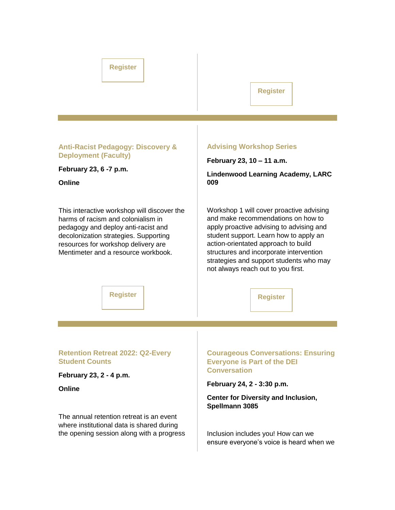## **[Register](https://nam04.safelinks.protection.outlook.com/?url=https%3A%2F%2Fr20.rs6.net%2Ftn.jsp%3Ff%3D001B0v3-0NK5bfuDx5WnjznYHtW9XF5GzcOGgRoVwryThwPmxSiHdOeasJfbWCokQcsBXqHJAtvsOUKLueRf7yQaCc_DYtatJQFLjOO4C73jAatzD_ZB4W3GY0y5xuA6Pmneev3Dq6NRrfVuPiY2Yks0cltpUZfmIX5ErojltE8Jxj5sKorTsSPsg%3D%3D%26c%3DVx8gFamRnMtojEEgfnCPFCh2wbXlVdsiLzPbWooNCnR1j6leYKMXlg%3D%3D%26ch%3DlWzf4CdxCUN86mNShHfZtceal9JQC7XX11UbhFWYuzxajj8eAlHyuA%3D%3D&data=04%7C01%7Cphuffman%40lindenwood.edu%7C118cc97becdd455cf80b08d9f1614f27%7C3d72f08e540a4c68905d9e69c4d9c61e%7C1%7C0%7C637806222520123715%7CUnknown%7CTWFpbGZsb3d8eyJWIjoiMC4wLjAwMDAiLCJQIjoiV2luMzIiLCJBTiI6Ik1haWwiLCJXVCI6Mn0%3D%7C3000&sdata=LyJGa0BniZFz2wT3NxLU4mdI8zUOqSBjrHrcfFj3t4Q%3D&reserved=0)**

#### **[Register](https://nam04.safelinks.protection.outlook.com/?url=https%3A%2F%2Fr20.rs6.net%2Ftn.jsp%3Ff%3D001B0v3-0NK5bfuDx5WnjznYHtW9XF5GzcOGgRoVwryThwPmxSiHdOeaoAZt5PisPxS2PYVo8MqnYG1WcuqXEGwyiDAKIvPo00e8_x0N5xjEDA8gN3CQPJpKoZGYtxmogqaLkKaUljV03YqGxgaTuIZ-U07tugPxTWMlJVIkXHmn4fy_UzUZptmfg%3D%3D%26c%3DVx8gFamRnMtojEEgfnCPFCh2wbXlVdsiLzPbWooNCnR1j6leYKMXlg%3D%3D%26ch%3DlWzf4CdxCUN86mNShHfZtceal9JQC7XX11UbhFWYuzxajj8eAlHyuA%3D%3D&data=04%7C01%7Cphuffman%40lindenwood.edu%7C118cc97becdd455cf80b08d9f1614f27%7C3d72f08e540a4c68905d9e69c4d9c61e%7C1%7C0%7C637806222520123715%7CUnknown%7CTWFpbGZsb3d8eyJWIjoiMC4wLjAwMDAiLCJQIjoiV2luMzIiLCJBTiI6Ik1haWwiLCJXVCI6Mn0%3D%7C3000&sdata=LvhFLX%2F2UhZi9jFTh8bnNugbDu0LKexhIQielLTk7lM%3D&reserved=0)**

#### **Anti-Racist Pedagogy: Discovery & Deployment (Faculty)**

**February 23, 6 -7 p.m.**

**Online**

This interactive workshop will discover the harms of racism and colonialism in pedagogy and deploy anti-racist and decolonization strategies. Supporting resources for workshop delivery are Mentimeter and a resource workbook.

#### **Advising Workshop Series**

**February 23, 10 – 11 a.m.**

**Lindenwood Learning Academy, LARC 009**

Workshop 1 will cover proactive advising and make recommendations on how to apply proactive advising to advising and student support. Learn how to apply an action-orientated approach to build structures and incorporate intervention strategies and support students who may not always reach out to you first.

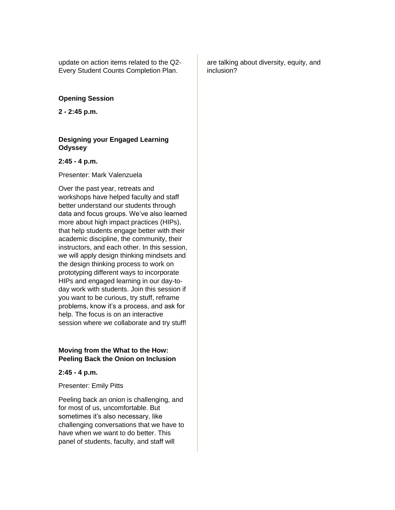update on action items related to the Q2- Every Student Counts Completion Plan.

#### **Opening Session**

**2 - 2:45 p.m.**

#### **Designing your Engaged Learning Odyssey**

#### **2:45 - 4 p.m.**

Presenter: Mark Valenzuela

Over the past year, retreats and workshops have helped faculty and staff better understand our students through data and focus groups. We've also learned more about high impact practices (HIPs), that help students engage better with their academic discipline, the community, their instructors, and each other. In this session, we will apply design thinking mindsets and the design thinking process to work on prototyping different ways to incorporate HIPs and engaged learning in our day-today work with students. Join this session if you want to be curious, try stuff, reframe problems, know it's a process, and ask for help. The focus is on an interactive session where we collaborate and try stuff!

#### **Moving from the What to the How: Peeling Back the Onion on Inclusion**

**2:45 - 4 p.m.** 

Presenter: Emily Pitts

Peeling back an onion is challenging, and for most of us, uncomfortable. But sometimes it's also necessary, like challenging conversations that we have to have when we want to do better. This panel of students, faculty, and staff will

are talking about diversity, equity, and inclusion?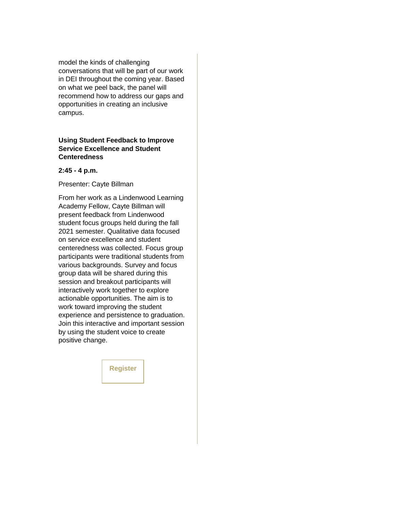model the kinds of challenging conversations that will be part of our work in DEI throughout the coming year. Based on what we peel back, the panel will recommend how to address our gaps and opportunities in creating an inclusive campus.

#### **Using Student Feedback to Improve Service Excellence and Student Centeredness**

#### **2:45 - 4 p.m.**

Presenter: Cayte Billman

From her work as a Lindenwood Learning Academy Fellow, Cayte Billman will present feedback from Lindenwood student focus groups held during the fall 2021 semester. Qualitative data focused on service excellence and student centeredness was collected. Focus group participants were traditional students from various backgrounds. Survey and focus group data will be shared during this session and breakout participants will interactively work together to explore actionable opportunities. The aim is to work toward improving the student experience and persistence to graduation. Join this interactive and important session by using the student voice to create positive change.

**[Register](https://nam04.safelinks.protection.outlook.com/?url=https%3A%2F%2Fr20.rs6.net%2Ftn.jsp%3Ff%3D001B0v3-0NK5bfuDx5WnjznYHtW9XF5GzcOGgRoVwryThwPmxSiHdOeasJfbWCokQcs7_mxwtnzQptfhdkiv3zIt3mmMlcBxxiNmTVEni9RWv3cai6M9gBgY6FZAAofpPZUhx_jThIo5n_hWgNJEXy4n9QngaKGTQ3W5KTC72nQ6IKm3b__-ehn-07PmJvO6JCq%26c%3DVx8gFamRnMtojEEgfnCPFCh2wbXlVdsiLzPbWooNCnR1j6leYKMXlg%3D%3D%26ch%3DlWzf4CdxCUN86mNShHfZtceal9JQC7XX11UbhFWYuzxajj8eAlHyuA%3D%3D&data=04%7C01%7Cphuffman%40lindenwood.edu%7C118cc97becdd455cf80b08d9f1614f27%7C3d72f08e540a4c68905d9e69c4d9c61e%7C1%7C0%7C637806222520123715%7CUnknown%7CTWFpbGZsb3d8eyJWIjoiMC4wLjAwMDAiLCJQIjoiV2luMzIiLCJBTiI6Ik1haWwiLCJXVCI6Mn0%3D%7C3000&sdata=3BgYXy3RK6cHMj5IYEss8teUYLGYbnAYxRviazeJb%2Bo%3D&reserved=0)**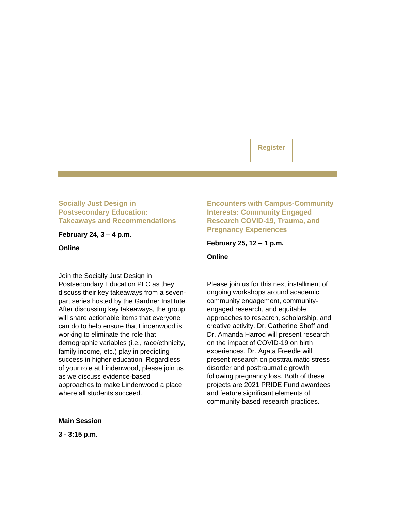## **[Register](https://nam04.safelinks.protection.outlook.com/?url=https%3A%2F%2Fr20.rs6.net%2Ftn.jsp%3Ff%3D001B0v3-0NK5bfuDx5WnjznYHtW9XF5GzcOGgRoVwryThwPmxSiHdOeasJfbWCokQcsx0OTdyJP0dUhbJpvMPtoueAjeEcaWQt5aQH_sdfix-yiTwRhzFGGIsIF370EeLKbnqSKpIBcA8W37mXzr2hjIuoyzszWAictFzeJfIcHHgWwfm3VQZbGFCRLxFOZzlm3%26c%3DVx8gFamRnMtojEEgfnCPFCh2wbXlVdsiLzPbWooNCnR1j6leYKMXlg%3D%3D%26ch%3DlWzf4CdxCUN86mNShHfZtceal9JQC7XX11UbhFWYuzxajj8eAlHyuA%3D%3D&data=04%7C01%7Cphuffman%40lindenwood.edu%7C118cc97becdd455cf80b08d9f1614f27%7C3d72f08e540a4c68905d9e69c4d9c61e%7C1%7C0%7C637806222520123715%7CUnknown%7CTWFpbGZsb3d8eyJWIjoiMC4wLjAwMDAiLCJQIjoiV2luMzIiLCJBTiI6Ik1haWwiLCJXVCI6Mn0%3D%7C3000&sdata=S2pkWqFbvXmvRmpE80Y3wH80rHeRbbg3WZ3V99ohsto%3D&reserved=0)**

## **Socially Just Design in Postsecondary Education: Takeaways and Recommendations**

**February 24, 3 – 4 p.m.**

**Online**

Join the Socially Just Design in Postsecondary Education PLC as they discuss their key takeaways from a sevenpart series hosted by the Gardner Institute. After discussing key takeaways, the group will share actionable items that everyone can do to help ensure that Lindenwood is working to eliminate the role that demographic variables (i.e., race/ethnicity, family income, etc.) play in predicting success in higher education. Regardless of your role at Lindenwood, please join us as we discuss evidence-based approaches to make Lindenwood a place where all students succeed.

**Main Session**

**3 - 3:15 p.m.**

**Encounters with Campus-Community Interests: Community Engaged Research COVID-19, Trauma, and Pregnancy Experiences**

**February 25, 12 – 1 p.m.**

**Online**

Please join us for this next installment of ongoing workshops around academic community engagement, communityengaged research, and equitable approaches to research, scholarship, and creative activity. Dr. Catherine Shoff and Dr. Amanda Harrod will present research on the impact of COVID-19 on birth experiences. Dr. Agata Freedle will present research on posttraumatic stress disorder and posttraumatic growth following pregnancy loss. Both of these projects are 2021 PRIDE Fund awardees and feature significant elements of community-based research practices.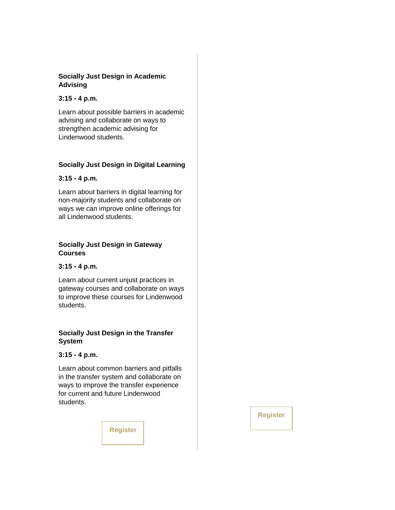## **Socially Just Design in Academic Advising**

#### **3:15 - 4 p.m.**

Learn about possible barriers in academic advising and collaborate on ways to strengthen academic advising for Lindenwood students.

## **Socially Just Design in Digital Learning**

## **3:15 - 4 p.m.**

Learn about barriers in digital learning for non-majority students and collaborate on ways we can improve online offerings for all Lindenwood students.

#### **Socially Just Design in Gateway Courses**

#### **3:15 - 4 p.m.**

Learn about current unjust practices in gateway courses and collaborate on ways to improve these courses for Lindenwood students.

## **Socially Just Design in the Transfer System**

#### **3:15 - 4 p.m.**

Learn about common barriers and pitfalls in the transfer system and collaborate on ways to improve the transfer experience for current and future Lindenwood students.

**[Register](https://nam04.safelinks.protection.outlook.com/?url=https%3A%2F%2Fr20.rs6.net%2Ftn.jsp%3Ff%3D001B0v3-0NK5bfuDx5WnjznYHtW9XF5GzcOGgRoVwryThwPmxSiHdOeaihczKVhXbWfY-gLCqK_FCUn_fSJGDvCnOn-E56PAaiRoDVRggVmmuIVXS_a--972IXAAxo6r4JU5_iVSTQPcSWtL0zktAMKXBfWN6RGwNnt1lj_X7_CCXPX4kmTkpIc-FHLJIWbzknm%26c%3DVx8gFamRnMtojEEgfnCPFCh2wbXlVdsiLzPbWooNCnR1j6leYKMXlg%3D%3D%26ch%3DlWzf4CdxCUN86mNShHfZtceal9JQC7XX11UbhFWYuzxajj8eAlHyuA%3D%3D&data=04%7C01%7Cphuffman%40lindenwood.edu%7C118cc97becdd455cf80b08d9f1614f27%7C3d72f08e540a4c68905d9e69c4d9c61e%7C1%7C0%7C637806222520279944%7CUnknown%7CTWFpbGZsb3d8eyJWIjoiMC4wLjAwMDAiLCJQIjoiV2luMzIiLCJBTiI6Ik1haWwiLCJXVCI6Mn0%3D%7C3000&sdata=KpCoi%2BRtZhha%2FaTDe0I0g%2BgtewCn0SBG%2FnJOHjKXRWA%3D&reserved=0)**

**[Register](https://nam04.safelinks.protection.outlook.com/?url=https%3A%2F%2Fr20.rs6.net%2Ftn.jsp%3Ff%3D001B0v3-0NK5bfuDx5WnjznYHtW9XF5GzcOGgRoVwryThwPmxSiHdOeasJfbWCokQcsBlj0TfMPel2XRqf1rswlrI3slf8V2BaBLanMS5jVowMj9uFWyVtV0KdXn0SvoLmjlE1_9XZwhBLkc1O7Be8okPfI3893f5z1eBo4GKHiGFk%3D%26c%3DVx8gFamRnMtojEEgfnCPFCh2wbXlVdsiLzPbWooNCnR1j6leYKMXlg%3D%3D%26ch%3DlWzf4CdxCUN86mNShHfZtceal9JQC7XX11UbhFWYuzxajj8eAlHyuA%3D%3D&data=04%7C01%7Cphuffman%40lindenwood.edu%7C118cc97becdd455cf80b08d9f1614f27%7C3d72f08e540a4c68905d9e69c4d9c61e%7C1%7C0%7C637806222520279944%7CUnknown%7CTWFpbGZsb3d8eyJWIjoiMC4wLjAwMDAiLCJQIjoiV2luMzIiLCJBTiI6Ik1haWwiLCJXVCI6Mn0%3D%7C3000&sdata=q8grA68kT9UW4NQdAUvVRa2b4rAX1GnqfhSDzRjIpFg%3D&reserved=0)**